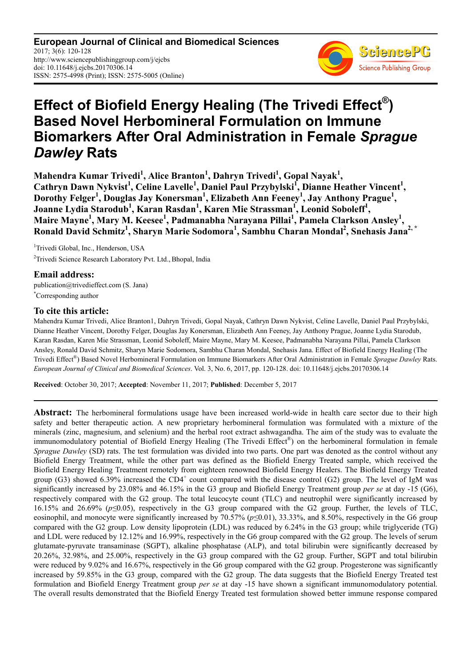**European Journal of Clinical and Biomedical Sciences** 2017; 3(6): 120-128 http://www.sciencepublishinggroup.com/j/ejcbs doi: 10.11648/j.ejcbs.20170306.14 ISSN: 2575-4998 (Print); ISSN: 2575-5005 (Online)



# **Effect of Biofield Energy Healing (The Trivedi Effect® ) Based Novel Herbomineral Formulation on Immune Biomarkers After Oral Administration in Female** *Sprague Dawley* **Rats**

**Mahendra Kumar Trivedi<sup>1</sup> , Alice Branton<sup>1</sup> , Dahryn Trivedi<sup>1</sup> , Gopal Nayak<sup>1</sup> ,**  Cathryn Dawn Nykvist<sup>1</sup>, Celine Lavelle<sup>1</sup>, Daniel Paul Przybylski<sup>I</sup>, Dianne Heather Vincent<sup>1</sup>, **Dorothy Felger<sup>1</sup> , Douglas Jay Konersman<sup>1</sup> , Elizabeth Ann Feeney<sup>1</sup> , Jay Anthony Prague<sup>1</sup> , Joanne Lydia Starodub<sup>1</sup> , Karan Rasdan<sup>1</sup> , Karen Mie Strassman<sup>1</sup> , Leonid Soboleff<sup>1</sup> , Maire Mayne<sup>1</sup> , Mary M. Keesee<sup>1</sup> , Padmanabha Narayana Pillai<sup>1</sup> , Pamela Clarkson Ansley<sup>1</sup> , Ronald David Schmitz<sup>1</sup> , Sharyn Marie Sodomora<sup>1</sup> , Sambhu Charan Mondal<sup>2</sup> , Snehasis Jana2, \*** 

<sup>1</sup>Trivedi Global, Inc., Henderson, USA <sup>2</sup>Trivedi Science Research Laboratory Pvt. Ltd., Bhopal, India

**Email address:**  publication@trivedieffect.com (S. Jana) \*Corresponding author

# **To cite this article:**

Mahendra Kumar Trivedi, Alice Branton1, Dahryn Trivedi, Gopal Nayak, Cathryn Dawn Nykvist, Celine Lavelle, Daniel Paul Przybylski, Dianne Heather Vincent, Dorothy Felger, Douglas Jay Konersman, Elizabeth Ann Feeney, Jay Anthony Prague, Joanne Lydia Starodub, Karan Rasdan, Karen Mie Strassman, Leonid Soboleff, Maire Mayne, Mary M. Keesee, Padmanabha Narayana Pillai, Pamela Clarkson Ansley, Ronald David Schmitz, Sharyn Marie Sodomora, Sambhu Charan Mondal, Snehasis Jana. Effect of Biofield Energy Healing (The Trivedi Effect® ) Based Novel Herbomineral Formulation on Immune Biomarkers After Oral Administration in Female *Sprague Dawley* Rats. *European Journal of Clinical and Biomedical Sciences*. Vol. 3, No. 6, 2017, pp. 120-128. doi: 10.11648/j.ejcbs.20170306.14

**Received**: October 30, 2017; **Accepted**: November 11, 2017; **Published**: December 5, 2017

**Abstract:** The herbomineral formulations usage have been increased world-wide in health care sector due to their high safety and better therapeutic action. A new proprietary herbomineral formulation was formulated with a mixture of the minerals (zinc, magnesium, and selenium) and the herbal root extract ashwagandha. The aim of the study was to evaluate the immunomodulatory potential of Biofield Energy Healing (The Trivedi Effect®) on the herbomineral formulation in female *Sprague Dawley* (SD) rats. The test formulation was divided into two parts. One part was denoted as the control without any Biofield Energy Treatment, while the other part was defined as the Biofield Energy Treated sample, which received the Biofield Energy Healing Treatment remotely from eighteen renowned Biofield Energy Healers. The Biofield Energy Treated group (G3) showed 6.39% increased the CD4<sup>+</sup> count compared with the disease control (G2) group. The level of IgM was significantly increased by 23.08% and 46.15% in the G3 group and Biofield Energy Treatment group *per se* at day -15 (G6), respectively compared with the G2 group. The total leucocyte count (TLC) and neutrophil were significantly increased by 16.15% and 26.69% (*p≤*0.05), respectively in the G3 group compared with the G2 group. Further, the levels of TLC, eosinophil, and monocyte were significantly increased by 70.57% (*p≤*0.01), 33.33%, and 8.50%, respectively in the G6 group compared with the G2 group. Low density lipoprotein (LDL) was reduced by 6.24% in the G3 group; while triglyceride (TG) and LDL were reduced by 12.12% and 16.99%, respectively in the G6 group compared with the G2 group. The levels of serum glutamate-pyruvate transaminase (SGPT), alkaline phosphatase (ALP), and total bilirubin were significantly decreased by 20.26%, 32.98%, and 25.00%, respectively in the G3 group compared with the G2 group. Further, SGPT and total bilirubin were reduced by 9.02% and 16.67%, respectively in the G6 group compared with the G2 group. Progesterone was significantly increased by 59.85% in the G3 group, compared with the G2 group. The data suggests that the Biofield Energy Treated test formulation and Biofield Energy Treatment group *per se* at day -15 have shown a significant immunomodulatory potential. The overall results demonstrated that the Biofield Energy Treated test formulation showed better immune response compared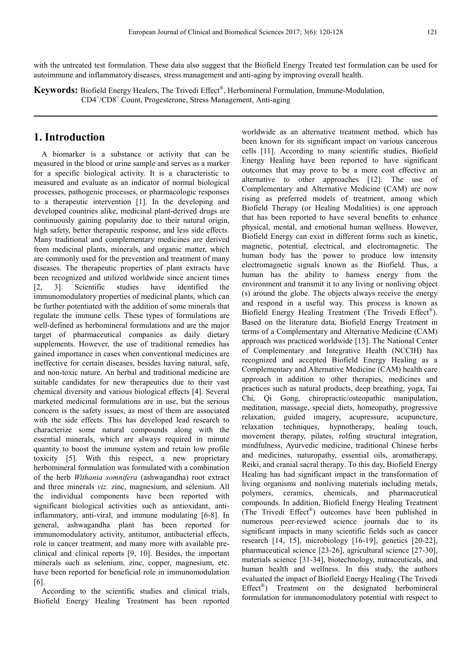with the untreated test formulation. These data also suggest that the Biofield Energy Treated test formulation can be used for autoimmune and inflammatory diseases, stress management and anti-aging by improving overall health.

**Keywords:** Biofield Energy Healers, The Trivedi Effect® , Herbomineral Formulation, Immune-Modulation, CD4<sup>+</sup> /CD8<sup>+</sup> Count, Progesterone, Stress Management, Anti-aging

# **1. Introduction**

A biomarker is a substance or activity that can be measured in the blood or urine sample and serves as a marker for a specific biological activity. It is a characteristic to measured and evaluate as an indicator of normal biological processes, pathogenic processes, or pharmacologic responses to a therapeutic intervention [1]. In the developing and developed countries alike, medicinal plant-derived drugs are continuously gaining popularity due to their natural origin, high safety, better therapeutic response, and less side effects. Many traditional and complementary medicines are derived from medicinal plants, minerals, and organic matter, which are commonly used for the prevention and treatment of many diseases. The therapeutic properties of plant extracts have been recognized and utilized worldwide since ancient times [2, 3]. Scientific studies have identified the immunomodulatory properties of medicinal plants, which can be further potentiated with the addition of some minerals that regulate the immune cells. These types of formulations are well-defined as herbomineral formulations and are the major target of pharmaceutical companies as daily dietary supplements. However, the use of traditional remedies has gained importance in cases when conventional medicines are ineffective for certain diseases, besides having natural, safe, and non-toxic nature. An herbal and traditional medicine are suitable candidates for new therapeutics due to their vast chemical diversity and various biological effects [4]. Several marketed medicinal formulations are in use, but the serious concern is the safety issues, as most of them are associated with the side effects. This has developed lead research to characterize some natural compounds along with the essential minerals, which are always required in minute quantity to boost the immune system and retain low profile toxicity [5]. With this respect, a new proprietary herbomineral formulation was formulated with a combination of the herb *Withania somnifera* (ashwagandha) root extract and three minerals *viz.* zinc, magnesium, and selenium. All the individual components have been reported with significant biological activities such as antioxidant, antiinflammatory, anti-viral, and immune modulating [6-8]. In general, ashwagandha plant has been reported for immunomodulatory activity, antitumor, antibacterial effects, role in cancer treatment, and many more with available preclinical and clinical reports [9, 10]. Besides, the important minerals such as selenium, zinc, copper, magnesium, etc. have been reported for beneficial role in immunomodulation [6].

According to the scientific studies and clinical trials, Biofield Energy Healing Treatment has been reported worldwide as an alternative treatment method, which has been known for its significant impact on various cancerous cells [11]. According to many scientific studies, Biofield Energy Healing have been reported to have significant outcomes that may prove to be a more cost effective an alternative to other approaches [12]. The use of Complementary and Alternative Medicine (CAM) are now rising as preferred models of treatment, among which Biofield Therapy (or Healing Modalities) is one approach that has been reported to have several benefits to enhance physical, mental, and emotional human wellness. However, Biofield Energy can exist in different forms such as kinetic, magnetic, potential, electrical, and electromagnetic. The human body has the power to produce low intensity electromagnetic signals known as the Biofield. Thus, a human has the ability to harness energy from the environment and transmit it to any living or nonliving object (s) around the globe. The objects always receive the energy and respond in a useful way. This process is known as Biofield Energy Healing Treatment (The Trivedi Effect®). Based on the literature data, Biofield Energy Treatment in terms of a Complementary and Alternative Medicine (CAM) approach was practiced worldwide [13]. The National Center of Complementary and Integrative Health (NCCIH) has recognized and accepted Biofield Energy Healing as a Complementary and Alternative Medicine (CAM) health care approach in addition to other therapies, medicines and practices such as natural products, deep breathing, yoga, Tai Chi, Qi Gong, chiropractic/osteopathic manipulation, meditation, massage, special diets, homeopathy, progressive relaxation, guided imagery, acupressure, acupuncture, relaxation techniques, hypnotherapy, healing touch, movement therapy, pilates, rolfing structural integration, mindfulness, Ayurvedic medicine, traditional Chinese herbs and medicines, naturopathy, essential oils, aromatherapy, Reiki, and cranial sacral therapy. To this day, Biofield Energy Healing has had significant impact in the transformation of living organisms and nonliving materials including metals, polymers, ceramics, chemicals, and pharmaceutical compounds. In addition, Biofield Energy Healing Treatment (The Trivedi Effect® ) outcomes have been published in numerous peer-reviewed science journals due to its significant impacts in many scientific fields such as cancer research [14, 15], microbiology [16-19], genetics [20-22], pharmaceutical science [23-26], agricultural science [27-30], materials science [31-34], biotechnology, nutraceuticals, and human health and wellness. In this study, the authors evaluated the impact of Biofield Energy Healing (The Trivedi Effect<sup>®</sup>) Treatment on the designated herbomineral formulation for immunomodulatory potential with respect to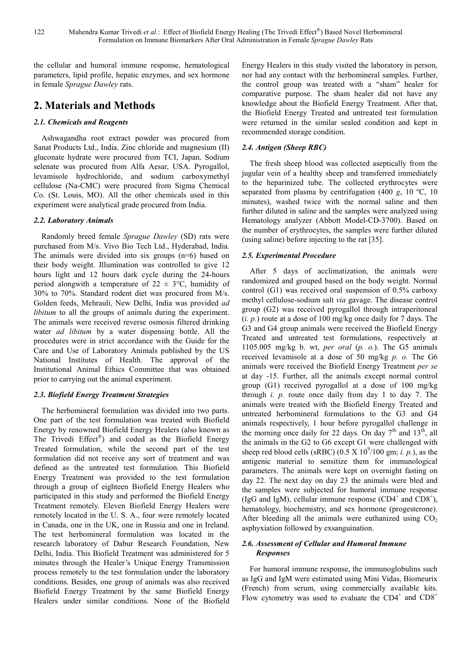the cellular and humoral immune response, hematological parameters, lipid profile, hepatic enzymes, and sex hormone in female *Sprague Dawley* rats.

# **2. Materials and Methods**

# *2.1. Chemicals and Reagents*

Ashwagandha root extract powder was procured from Sanat Products Ltd., India. Zinc chloride and magnesium (II) gluconate hydrate were procured from TCI, Japan. Sodium selenate was procured from Alfa Aesar, USA. Pyrogallol, levamisole hydrochloride, and sodium carboxymethyl cellulose (Na-CMC) were procured from Sigma Chemical Co. (St. Louis, MO). All the other chemicals used in this experiment were analytical grade procured from India.

# *2.2. Laboratory Animals*

Randomly breed female *Sprague Dawley* (SD) rats were purchased from M/s. Vivo Bio Tech Ltd., Hyderabad, India. The animals were divided into six groups (n=6) based on their body weight. Illumination was controlled to give 12 hours light and 12 hours dark cycle during the 24-hours period alongwith a temperature of  $22 \pm 3$ °C, humidity of 30% to 70%. Standard rodent diet was procured from M/s. Golden feeds, Mehrauli, New Delhi, India was provided *ad libitum* to all the groups of animals during the experiment. The animals were received reverse osmosis filtered drinking water *ad libitum* by a water dispensing bottle. All the procedures were in strict accordance with the Guide for the Care and Use of Laboratory Animals published by the US National Institutes of Health. The approval of the Institutional Animal Ethics Committee that was obtained prior to carrying out the animal experiment.

# *2.3. Biofield Energy Treatment Strategies*

The herbomineral formulation was divided into two parts. One part of the test formulation was treated with Biofield Energy by renowned Biofield Energy Healers (also known as The Trivedi Effect®) and coded as the Biofield Energy Treated formulation, while the second part of the test formulation did not receive any sort of treatment and was defined as the untreated test formulation. This Biofield Energy Treatment was provided to the test formulation through a group of eighteen Biofield Energy Healers who participated in this study and performed the Biofield Energy Treatment remotely. Eleven Biofield Energy Healers were remotely located in the U. S. A., four were remotely located in Canada, one in the UK, one in Russia and one in Ireland. The test herbomineral formulation was located in the research laboratory of Dabur Research Foundation, New Delhi, India. This Biofield Treatment was administered for 5 minutes through the Healer's Unique Energy Transmission process remotely to the test formulation under the laboratory conditions. Besides, one group of animals was also received Biofield Energy Treatment by the same Biofield Energy Healers under similar conditions. None of the Biofield

Energy Healers in this study visited the laboratory in person, nor had any contact with the herbomineral samples. Further, the control group was treated with a "sham" healer for comparative purpose. The sham healer did not have any knowledge about the Biofield Energy Treatment. After that, the Biofield Energy Treated and untreated test formulation were returned in the similar sealed condition and kept in recommended storage condition.

# *2.4. Antigen (Sheep RBC)*

The fresh sheep blood was collected aseptically from the jugular vein of a healthy sheep and transferred immediately to the heparinized tube. The collected erythrocytes were separated from plasma by centrifugation (400 *g*, 10 ºC, 10 minutes), washed twice with the normal saline and then further diluted in saline and the samples were analyzed using Hematology analyzer (Abbott Model-CD-3700). Based on the number of erythrocytes, the samples were further diluted (using saline) before injecting to the rat [35].

# *2.5. Experimental Procedure*

After 5 days of acclimatization, the animals were randomized and grouped based on the body weight. Normal control (G1) was received oral suspension of 0.5% carboxy methyl cellulose-sodium salt *via* gavage. The disease control group (G2) was received pyrogallol through intraperitoneal (*i. p.*) route at a dose of 100 mg/kg once daily for 7 days. The G3 and G4 group animals were received the Biofield Energy Treated and untreated test formulations, respectively at 1105.005 mg/kg b. wt, *per oral* (*p. o.*). The G5 animals received levamisole at a dose of 50 mg/kg *p. o.* The G6 animals were received the Biofield Energy Treatment *per se* at day -15. Further, all the animals except normal control group (G1) received pyrogallol at a dose of 100 mg/kg through *i. p.* route once daily from day 1 to day 7. The animals were treated with the Biofield Energy Treated and untreated herbomineral formulations to the G3 and G4 animals respectively, 1 hour before pyrogallol challenge in the morning once daily for 22 days. On day  $7<sup>th</sup>$  and  $13<sup>th</sup>$ , all the animals in the G2 to G6 except G1 were challenged with sheep red blood cells (sRBC)  $(0.5 \text{ X } 10^9/100 \text{ gm}; i. p.),$  as the antigenic material to sensitize them for immunological parameters. The animals were kept on overnight fasting on day 22. The next day on day 23 the animals were bled and the samples were subjected for humoral immune response (IgG and IgM), cellular immune response  $(CD4^+$  and  $CD8^+$ ), hematology, biochemistry, and sex hormone (progesterone). After bleeding all the animals were euthanized using  $CO<sub>2</sub>$ asphyxiation followed by exsanguination.

### *2.6. Assessment of Cellular and Humoral Immune Responses*

For humoral immune response, the immunoglobulins such as IgG and IgM were estimated using Mini Vidas, Biomeurix (French) from serum, using commercially available kits. Flow cytometry was used to evaluate the CD4<sup>+</sup> and CD8<sup>+</sup>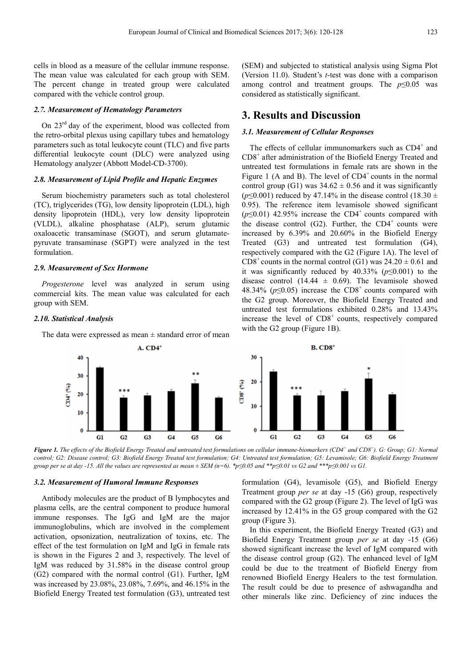cells in blood as a measure of the cellular immune response. The mean value was calculated for each group with SEM. The percent change in treated group were calculated compared with the vehicle control group.

#### *2.7. Measurement of Hematology Parameters*

On 23rd day of the experiment, blood was collected from the retro-orbital plexus using capillary tubes and hematology parameters such as total leukocyte count (TLC) and five parts differential leukocyte count (DLC) were analyzed using Hematology analyzer (Abbott Model-CD-3700).

#### *2.8. Measurement of Lipid Profile and Hepatic Enzymes*

Serum biochemistry parameters such as total cholesterol (TC), triglycerides (TG), low density lipoprotein (LDL), high density lipoprotein (HDL), very low density lipoprotein (VLDL), alkaline phosphatase (ALP), serum glutamic oxaloacetic transaminase (SGOT), and serum glutamatepyruvate transaminase (SGPT) were analyzed in the test formulation.

#### *2.9. Measurement of Sex Hormone*

*Progesterone* level was analyzed in serum using commercial kits. The mean value was calculated for each group with SEM.

#### *2.10. Statistical Analysis*

The data were expressed as mean  $\pm$  standard error of mean

(SEM) and subjected to statistical analysis using Sigma Plot (Version 11.0). Student's *t*-test was done with a comparison among control and treatment groups. The  $p \leq 0.05$  was considered as statistically significant.

### **3. Results and Discussion**

#### *3.1. Measurement of Cellular Responses*

The effects of cellular immunomarkers such as  $CD4^+$  and CD8<sup>+</sup> after administration of the Biofield Energy Treated and untreated test formulations in female rats are shown in the Figure 1 (A and B). The level of  $CD4^+$  counts in the normal control group (G1) was  $34.62 \pm 0.56$  and it was significantly ( $p \le 0.001$ ) reduced by 47.14% in the disease control (18.30 ± 0.95). The reference item levamisole showed significant  $(p \le 0.01)$  42.95% increase the CD4<sup>+</sup> counts compared with the disease control  $(G2)$ . Further, the CD4<sup>+</sup> counts were increased by 6.39% and 20.60% in the Biofield Energy Treated (G3) and untreated test formulation (G4), respectively compared with the G2 (Figure 1A). The level of  $CD8<sup>+</sup> counts in the normal control (G1) was 24.20  $\pm$  0.61 and$ it was significantly reduced by 40.33% (*p*≤0.001) to the disease control (14.44  $\pm$  0.69). The levamisole showed 48.34% ( $p \le 0.05$ ) increase the CD8<sup>+</sup> counts compared with the G2 group. Moreover, the Biofield Energy Treated and untreated test formulations exhibited 0.28% and 13.43% increase the level of  $CDS<sup>+</sup>$  counts, respectively compared with the G2 group (Figure 1B).



*Figure 1. The effects of the Biofield Energy Treated and untreated test formulations on cellular immune-biomarkers (CD4<sup>+</sup> and CD8<sup>+</sup> ). G: Group; G1: Normal control; G2: Disease control; G3: Biofield Energy Treated test formulation; G4: Untreated test formulation; G5: Levamisole; G6: Biofield Energy Treatment group per se at day -15. All the values are represented as mean ± SEM (n=6). \*p≤0.05 and \*\*p≤0.01 vs G2 and \*\*\*p≤0.001 vs G1.*

#### *3.2. Measurement of Humoral Immune Responses*

Antibody molecules are the product of B lymphocytes and plasma cells, are the central component to produce humoral immune responses. The IgG and IgM are the major immunoglobulins, which are involved in the complement activation, opsonization, neutralization of toxins, etc. The effect of the test formulation on IgM and IgG in female rats is shown in the Figures 2 and 3, respectively. The level of IgM was reduced by 31.58% in the disease control group (G2) compared with the normal control (G1). Further, IgM was increased by 23.08%, 23.08%, 7.69%, and 46.15% in the Biofield Energy Treated test formulation (G3), untreated test formulation (G4), levamisole (G5), and Biofield Energy Treatment group *per se* at day -15 (G6) group, respectively compared with the G2 group (Figure 2). The level of IgG was increased by 12.41% in the G5 group compared with the G2 group (Figure 3).

In this experiment, the Biofield Energy Treated (G3) and Biofield Energy Treatment group *per se* at day -15 (G6) showed significant increase the level of IgM compared with the disease control group (G2). The enhanced level of IgM could be due to the treatment of Biofield Energy from renowned Biofield Energy Healers to the test formulation. The result could be due to presence of ashwagandha and other minerals like zinc. Deficiency of zinc induces the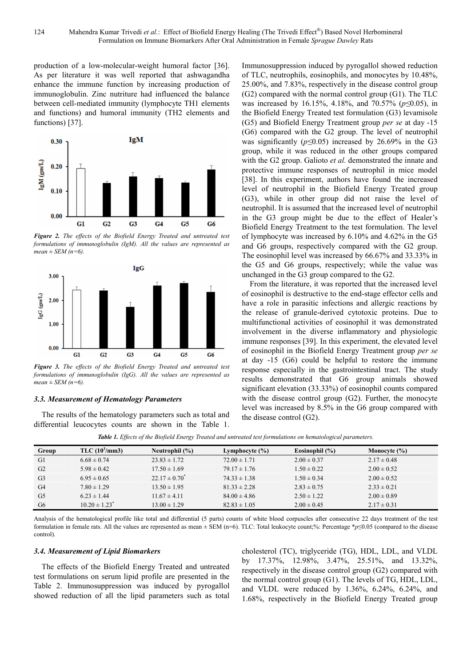production of a low-molecular-weight humoral factor [36]. As per literature it was well reported that ashwagandha enhance the immune function by increasing production of immunoglobulin. Zinc nutriture had influenced the balance between cell-mediated immunity (lymphocyte TH1 elements and functions) and humoral immunity (TH2 elements and functions) [37].



*Figure 2. The effects of the Biofield Energy Treated and untreated test formulations of immunoglobulin (IgM). All the values are represented as*   $mean \pm SEM$  ( $n=6$ ).



*Figure 3. The effects of the Biofield Energy Treated and untreated test formulations of immunoglobulin (IgG). All the values are represented as mean ± SEM (n=6).* 

#### *3.3. Measurement of Hematology Parameters*

The results of the hematology parameters such as total and differential leucocytes counts are shown in the Table 1. Immunosuppression induced by pyrogallol showed reduction of TLC, neutrophils, eosinophils, and monocytes by 10.48%, 25.00%, and 7.83%, respectively in the disease control group (G2) compared with the normal control group (G1). The TLC was increased by 16.15%, 4.18%, and 70.57% (*p≤*0.05), in the Biofield Energy Treated test formulation (G3) levamisole (G5) and Biofield Energy Treatment group *per se* at day -15 (G6) compared with the G2 group. The level of neutrophil was significantly (*p≤*0.05) increased by 26.69% in the G3 group, while it was reduced in the other groups compared with the G2 group. Galioto *et al.* demonstrated the innate and protective immune responses of neutrophil in mice model [38]. In this experiment, authors have found the increased level of neutrophil in the Biofield Energy Treated group (G3), while in other group did not raise the level of neutrophil. It is assumed that the increased level of neutrophil in the G3 group might be due to the effect of Healer's Biofield Energy Treatment to the test formulation. The level of lymphocyte was increased by 6.10% and 4.62% in the G5 and G6 groups, respectively compared with the G2 group. The eosinophil level was increased by 66.67% and 33.33% in the G5 and G6 groups, respectively; while the value was unchanged in the G3 group compared to the G2.

From the literature, it was reported that the increased level of eosinophil is destructive to the end-stage effector cells and have a role in parasitic infections and allergic reactions by the release of granule-derived cytotoxic proteins. Due to multifunctional activities of eosinophil it was demonstrated involvement in the diverse inflammatory and physiologic immune responses [39]. In this experiment, the elevated level of eosinophil in the Biofield Energy Treatment group *per se* at day -15 (G6) could be helpful to restore the immune response especially in the gastrointestinal tract. The study results demonstrated that G6 group animals showed significant elevation (33.33%) of eosinophil counts compared with the disease control group (G2). Further, the monocyte level was increased by 8.5% in the G6 group compared with the disease control (G2).

*Table 1. Effects of the Biofield Energy Treated and untreated test formulations on hematological parameters.* 

| Group          | TLC (10 <sup>3</sup> /mm3)    | Neutrophil $(\% )$ | Lymphocyte $(\% )$ | Eosinophil $(\% )$ | Monocyte $(\% )$ |  |
|----------------|-------------------------------|--------------------|--------------------|--------------------|------------------|--|
| G1             | $6.68 \pm 0.74$               | $23.83 \pm 1.72$   | $72.00 \pm 1.71$   | $2.00 \pm 0.37$    | $2.17 \pm 0.48$  |  |
| G2             | $5.98 \pm 0.42$               | $17.50 \pm 1.69$   | $79.17 \pm 1.76$   | $1.50 \pm 0.22$    | $2.00 \pm 0.52$  |  |
| G <sub>3</sub> | $6.95 \pm 0.65$               | $22.17 \pm 0.70^*$ | $74.33 \pm 1.38$   | $1.50 \pm 0.34$    | $2.00 \pm 0.52$  |  |
| G <sub>4</sub> | $7.80 \pm 1.29$               | $13.50 \pm 1.95$   | $81.33 \pm 2.28$   | $2.83 \pm 0.75$    | $2.33 \pm 0.21$  |  |
| G <sub>5</sub> | $6.23 \pm 1.44$               | $11.67 \pm 4.11$   | $84.00 \pm 4.86$   | $2.50 \pm 1.22$    | $2.00 \pm 0.89$  |  |
| G <sub>6</sub> | $10.20 \pm 1.23$ <sup>*</sup> | $13.00 \pm 1.29$   | $82.83 \pm 1.05$   | $2.00 \pm 0.45$    | $2.17 \pm 0.31$  |  |

Analysis of the hematological profile like total and differential (5 parts) counts of white blood corpuscles after consecutive 22 days treatment of the test formulation in female rats. All the values are represented as mean ± SEM (n=6). TLC: Total leukocyte count;%: Percentage \**p*≤0.05 (compared to the disease control).

#### *3.4. Measurement of Lipid Biomarkers*

The effects of the Biofield Energy Treated and untreated test formulations on serum lipid profile are presented in the Table 2. Immunosuppression was induced by pyrogallol showed reduction of all the lipid parameters such as total cholesterol (TC), triglyceride (TG), HDL, LDL, and VLDL by 17.37%, 12.98%, 3.47%, 25.51%, and 13.32%, respectively in the disease control group (G2) compared with the normal control group (G1). The levels of TG, HDL, LDL, and VLDL were reduced by 1.36%, 6.24%, 6.24%, and 1.68%, respectively in the Biofield Energy Treated group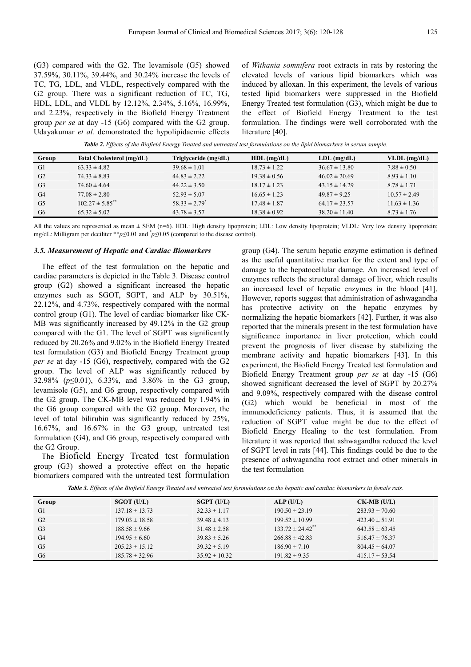(G3) compared with the G2. The levamisole (G5) showed 37.59%, 30.11%, 39.44%, and 30.24% increase the levels of TC, TG, LDL, and VLDL, respectively compared with the G2 group. There was a significant reduction of TC, TG, HDL, LDL, and VLDL by 12.12%, 2.34%, 5.16%, 16.99%, and 2.23%, respectively in the Biofield Energy Treatment group *per se* at day -15 (G6) compared with the G2 group. Udayakumar *et al.* demonstrated the hypolipidaemic effects

of *Withania somnifera* root extracts in rats by restoring the elevated levels of various lipid biomarkers which was induced by alloxan. In this experiment, the levels of various tested lipid biomarkers were suppressed in the Biofield Energy Treated test formulation (G3), which might be due to the effect of Biofield Energy Treatment to the test formulation. The findings were well corroborated with the literature [40].

*Table 2. Effects of the Biofield Energy Treated and untreated test formulations on the lipid biomarkers in serum sample.* 

| Group          | Total Cholesterol (mg/dL)       | Triglyceride (mg/dL)          | $HDL$ (mg/dL)    | $LDL$ (mg/dL)     | $VLDL$ (mg/dL)   |
|----------------|---------------------------------|-------------------------------|------------------|-------------------|------------------|
| G1             | $63.33 \pm 4.82$                | $39.68 \pm 1.01$              | $18.73 \pm 1.22$ | $36.67 \pm 13.80$ | $7.88 \pm 0.50$  |
| G <sub>2</sub> | $74.33 \pm 8.83$                | $44.83 \pm 2.22$              | $19.38 \pm 0.56$ | $46.02 \pm 20.69$ | $8.93 \pm 1.10$  |
| G <sub>3</sub> | $74.60 \pm 4.64$                | $44.22 \pm 3.50$              | $18.17 \pm 1.23$ | $43.15 \pm 14.29$ | $8.78 \pm 1.71$  |
| G4             | $77.08 \pm 2.80$                | $52.93 \pm 5.07$              | $16.65 \pm 1.23$ | $49.87 \pm 9.25$  | $10.57 \pm 2.49$ |
| G <sub>5</sub> | $102.27 \pm 5.85$ <sup>**</sup> | $58.33 \pm 2.79$ <sup>*</sup> | $17.48 \pm 1.87$ | $64.17 \pm 23.57$ | $11.63 \pm 1.36$ |
| G6             | $65.32 \pm 5.02$                | $43.78 \pm 3.57$              | $18.38 \pm 0.92$ | $38.20 \pm 11.40$ | $8.73 \pm 1.76$  |

All the values are represented as mean  $\pm$  SEM (n=6). HDL: High density lipoprotein; LDL: Low density lipoprotein; VLDL: Very low density lipoprotein; mg/dL: Milligram per deciliter \*\**p*≤0.01 and \* *p*≤0.05 (compared to the disease control).

#### *3.5. Measurement of Hepatic and Cardiac Biomarkers*

The effect of the test formulation on the hepatic and cardiac parameters is depicted in the Table 3. Disease control group (G2) showed a significant increased the hepatic enzymes such as SGOT, SGPT, and ALP by 30.51%, 22.12%, and 4.73%, respectively compared with the normal control group (G1). The level of cardiac biomarker like CK-MB was significantly increased by 49.12% in the G2 group compared with the G1. The level of SGPT was significantly reduced by 20.26% and 9.02% in the Biofield Energy Treated test formulation (G3) and Biofield Energy Treatment group *per se* at day -15 (G6), respectively, compared with the G2 group. The level of ALP was significantly reduced by 32.98% (*p*≤0.01), 6.33%, and 3.86% in the G3 group, levamisole (G5), and G6 group, respectively compared with the G2 group. The CK-MB level was reduced by 1.94% in the G6 group compared with the G2 group. Moreover, the level of total bilirubin was significantly reduced by 25%, 16.67%, and 16.67% in the G3 group, untreated test formulation (G4), and G6 group, respectively compared with the G2 Group.

The Biofield Energy Treated test formulation group (G3) showed a protective effect on the hepatic biomarkers compared with the untreated test formulation group (G4). The serum hepatic enzyme estimation is defined as the useful quantitative marker for the extent and type of damage to the hepatocellular damage. An increased level of enzymes reflects the structural damage of liver, which results an increased level of hepatic enzymes in the blood [41]. However, reports suggest that administration of ashwagandha has protective activity on the hepatic enzymes by normalizing the hepatic biomarkers [42]. Further, it was also reported that the minerals present in the test formulation have significance importance in liver protection, which could prevent the prognosis of liver disease by stabilizing the membrane activity and hepatic biomarkers [43]. In this experiment, the Biofield Energy Treated test formulation and Biofield Energy Treatment group *per se* at day -15 (G6) showed significant decreased the level of SGPT by 20.27% and 9.09%, respectively compared with the disease control (G2) which would be beneficial in most of the immunodeficiency patients. Thus, it is assumed that the reduction of SGPT value might be due to the effect of Biofield Energy Healing to the test formulation. From literature it was reported that ashwagandha reduced the level of SGPT level in rats [44]. This findings could be due to the presence of ashwagandha root extract and other minerals in the test formulation

| Group          | SGOT (U/L)         | $SGPT$ (U/L)      | ALP(U/L)                         | $CK-MB$ (U/L)      |  |
|----------------|--------------------|-------------------|----------------------------------|--------------------|--|
| G1             | $137.18 \pm 13.73$ | $32.33 \pm 1.17$  | $190.50 \pm 23.19$               | $283.93 \pm 70.60$ |  |
| G <sub>2</sub> | $179.03 \pm 18.58$ | $39.48 \pm 4.13$  | $199.52 \pm 10.99$               | $423.40 \pm 51.91$ |  |
| G <sub>3</sub> | $188.58 \pm 9.66$  | $31.48 \pm 2.58$  | $133.72 \pm 24.42$ <sup>**</sup> | $643.58 \pm 63.45$ |  |
| G4             | $194.95 \pm 6.60$  | $39.83 \pm 5.26$  | $266.88 \pm 42.83$               | $516.47 \pm 76.37$ |  |
| G <sub>5</sub> | $205.23 \pm 15.12$ | $39.32 \pm 5.19$  | $186.90 \pm 7.10$                | $804.45 \pm 64.07$ |  |
| G <sub>6</sub> | $185.78 \pm 32.96$ | $35.92 \pm 10.32$ | $191.82 \pm 9.35$                | $415.17 \pm 53.54$ |  |
|                |                    |                   |                                  |                    |  |

*Table 3. Effects of the Biofield Energy Treated and untreated test formulations on the hepatic and cardiac biomarkers in female rats.*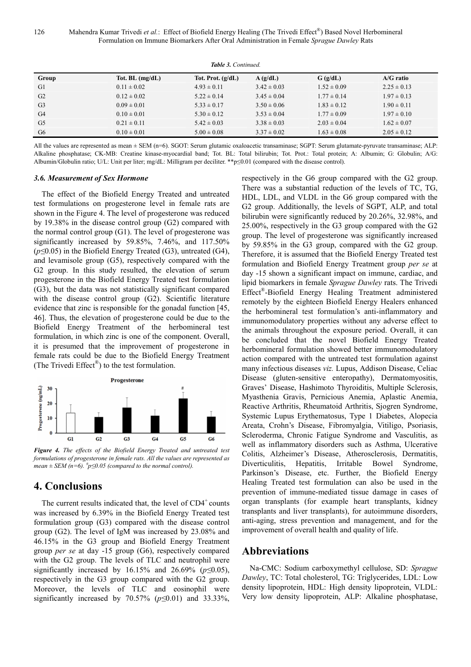126 Mahendra Kumar Trivedi et al.: Effect of Biofield Energy Healing (The Trivedi Effect®) Based Novel Herbomineral Formulation on Immune Biomarkers After Oral Administration in Female *Sprague Dawley* Rats

| <b>Table 3. Continued.</b> |                   |                     |                 |                 |                 |  |
|----------------------------|-------------------|---------------------|-----------------|-----------------|-----------------|--|
| Group                      | Tot. BL $(mg/dL)$ | Tot. Prot. $(g/dL)$ | A(g/dL)         | $G$ (g/dL)      | $A/G$ ratio     |  |
| G1                         | $0.11 \pm 0.02$   | $4.93 \pm 0.11$     | $3.42 \pm 0.03$ | $1.52 \pm 0.09$ | $2.25 \pm 0.13$ |  |
| G <sub>2</sub>             | $0.12 \pm 0.02$   | $5.22 \pm 0.14$     | $3.45 \pm 0.04$ | $1.77 \pm 0.14$ | $1.97 \pm 0.13$ |  |
| G <sub>3</sub>             | $0.09 \pm 0.01$   | $5.33 \pm 0.17$     | $3.50 \pm 0.06$ | $1.83 \pm 0.12$ | $1.90 \pm 0.11$ |  |
| G <sub>4</sub>             | $0.10 \pm 0.01$   | $5.30 \pm 0.12$     | $3.53 \pm 0.04$ | $1.77 \pm 0.09$ | $1.97 \pm 0.10$ |  |
| G <sub>5</sub>             | $0.21 \pm 0.11$   | $5.42 \pm 0.03$     | $3.38 \pm 0.03$ | $2.03 \pm 0.04$ | $1.62 \pm 0.07$ |  |
| G <sub>6</sub>             | $0.10 \pm 0.01$   | $5.00 \pm 0.08$     | $3.37 \pm 0.02$ | $1.63 \pm 0.08$ | $2.05 \pm 0.12$ |  |

All the values are represented as mean  $\pm$  SEM (n=6). SGOT: Serum glutamic oxaloacetic transaminase; SGPT: Serum glutamate-pyruvate transaminase; ALP: Alkaline phosphatase; CK-MB: Creatine kinase-myocardial band; Tot. BL: Total bilirubin; Tot. Prot.: Total protein; A: Albumin; G: Globulin; A/G: Albumin/Globulin ratio; U/L: Unit per liter; mg/dL: Milligram per deciliter. \*\*p≤0.01 (compared with the disease control).

#### *3.6. Measurement of Sex Hormone*

The effect of the Biofield Energy Treated and untreated test formulations on progesterone level in female rats are shown in the Figure 4. The level of progesterone was reduced by 19.38% in the disease control group (G2) compared with the normal control group (G1). The level of progesterone was significantly increased by 59.85%, 7.46%, and 117.50% (*p≤*0.05) in the Biofield Energy Treated (G3), untreated (G4), and levamisole group (G5), respectively compared with the G2 group. In this study resulted, the elevation of serum progesterone in the Biofield Energy Treated test formulation (G3), but the data was not statistically significant compared with the disease control group (G2). Scientific literature evidence that zinc is responsible for the gonadal function [45, 46]. Thus, the elevation of progesterone could be due to the Biofield Energy Treatment of the herbomineral test formulation, in which zinc is one of the component. Overall, it is presumed that the improvement of progesterone in female rats could be due to the Biofield Energy Treatment (The Trivedi  $Effect^{\circledast}$ ) to the test formulation.



*Figure 4. The effects of the Biofield Energy Treated and untreated test formulations of progesterone in female rats. All the values are represented as mean*  $\pm$  *SEM* (*n*=6). <sup>*#*</sup> $p \le 0.05$  (compared to the normal control).

# **4. Conclusions**

The current results indicated that, the level of  $CD4^+$  counts was increased by 6.39% in the Biofield Energy Treated test formulation group (G3) compared with the disease control group (G2). The level of IgM was increased by 23.08% and 46.15% in the G3 group and Biofield Energy Treatment group *per se* at day -15 group (G6), respectively compared with the G2 group. The levels of TLC and neutrophil were significantly increased by 16.15% and 26.69% (*p≤*0.05), respectively in the G3 group compared with the G2 group. Moreover, the levels of TLC and eosinophil were significantly increased by 70.57% (*p≤*0.01) and 33.33%,

respectively in the G6 group compared with the G2 group. There was a substantial reduction of the levels of TC, TG, HDL, LDL, and VLDL in the G6 group compared with the G2 group. Additionally, the levels of SGPT, ALP, and total bilirubin were significantly reduced by 20.26%, 32.98%, and 25.00%, respectively in the G3 group compared with the G2 group. The level of progesterone was significantly increased by 59.85% in the G3 group, compared with the G2 group. Therefore, it is assumed that the Biofield Energy Treated test formulation and Biofield Energy Treatment group *per se* at day -15 shown a significant impact on immune, cardiac, and lipid biomarkers in female *Sprague Dawley* rats. The Trivedi Effect® -Biofield Energy Healing Treatment administered remotely by the eighteen Biofield Energy Healers enhanced the herbomineral test formulation's anti-inflammatory and immunomodulatory properties without any adverse effect to the animals throughout the exposure period. Overall, it can be concluded that the novel Biofield Energy Treated herbomineral formulation showed better immunomodulatory action compared with the untreated test formulation against many infectious diseases *viz.* Lupus, Addison Disease, Celiac Disease (gluten-sensitive enteropathy), Dermatomyositis, Graves' Disease, Hashimoto Thyroiditis, Multiple Sclerosis, Myasthenia Gravis, Pernicious Anemia, Aplastic Anemia, Reactive Arthritis, Rheumatoid Arthritis, Sjogren Syndrome, Systemic Lupus Erythematosus, Type 1 Diabetes, Alopecia Areata, Crohn's Disease, Fibromyalgia, Vitiligo, Psoriasis, Scleroderma, Chronic Fatigue Syndrome and Vasculitis, as well as inflammatory disorders such as Asthma, Ulcerative Colitis, Alzheimer's Disease, Atherosclerosis, Dermatitis, Diverticulitis, Hepatitis, Irritable Bowel Syndrome, Parkinson's Disease, etc. Further, the Biofield Energy Healing Treated test formulation can also be used in the prevention of immune-mediated tissue damage in cases of organ transplants (for example heart transplants, kidney transplants and liver transplants), for autoimmune disorders, anti-aging, stress prevention and management, and for the improvement of overall health and quality of life.

## **Abbreviations**

Na-CMC: Sodium carboxymethyl cellulose, SD: *Sprague Dawley*, TC: Total cholesterol, TG: Triglycerides, LDL: Low density lipoprotein, HDL: High density lipoprotein, VLDL: Very low density lipoprotein, ALP: Alkaline phosphatase,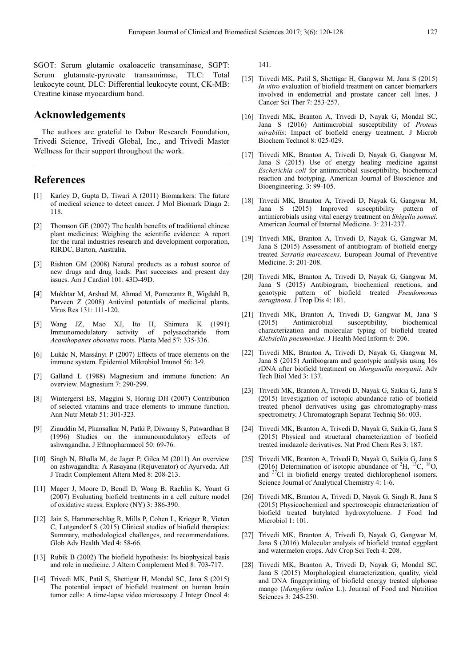SGOT: Serum glutamic oxaloacetic transaminase, SGPT: Serum glutamate-pyruvate transaminase, TLC: Total leukocyte count, DLC: Differential leukocyte count, CK-MB: Creatine kinase myocardium band.

## **Acknowledgements**

The authors are grateful to Dabur Research Foundation, Trivedi Science, Trivedi Global, Inc., and Trivedi Master Wellness for their support throughout the work.

# **References**

- [1] Karley D, Gupta D, Tiwari A (2011) Biomarkers: The future of medical science to detect cancer. J Mol Biomark Diagn 2: 118.
- [2] Thomson GE (2007) The health benefits of traditional chinese plant medicines: Weighing the scientific evidence: A report for the rural industries research and development corporation, RIRDC, Barton, Australia.
- Rishton GM (2008) Natural products as a robust source of new drugs and drug leads: Past successes and present day issues. Am J Cardiol 101: 43D-49D.
- [4] Mukhtar M, Arshad M, Ahmad M, Pomerantz R, Wigdahl B, Parveen Z (2008) Antiviral potentials of medicinal plants. Virus Res 131: 111-120.
- [5] Wang JZ, Mao XJ, Ito H, Shimura K (1991) Immunomodulatory activity of polysaccharide from *Acanthopanex obovatus* roots. Planta Med 57: 335-336.
- [6] Lukác N, Massányi P (2007) Effects of trace elements on the immune system. Epidemiol Mikrobiol Imunol 56: 3-9.
- [7] Galland L (1988) Magnesium and immune function: An overview. Magnesium 7: 290-299.
- [8] Wintergerst ES, Maggini S, Hornig DH (2007) Contribution of selected vitamins and trace elements to immune function. Ann Nutr Metab 51: 301-323.
- Ziauddin M, Phansalkar N, Patki P, Diwanay S, Patwardhan B (1996) Studies on the immunomodulatory effects of ashwagandha. J Ethnopharmacol 50: 69-76.
- [10] Singh N, Bhalla M, de Jager P, Gilca M (2011) An overview on ashwagandha: A Rasayana (Rejuvenator) of Ayurveda. Afr J Tradit Complement Altern Med 8: 208-213.
- [11] Mager J, Moore D, Bendl D, Wong B, Rachlin K, Yount G (2007) Evaluating biofield treatments in a cell culture model of oxidative stress. Explore (NY) 3: 386-390.
- [12] Jain S, Hammerschlag R, Mills P, Cohen L, Krieger R, Vieten C, Lutgendorf S (2015) Clinical studies of biofield therapies: Summary, methodological challenges, and recommendations. Glob Adv Health Med 4: 58-66.
- [13] Rubik B (2002) The biofield hypothesis: Its biophysical basis and role in medicine. J Altern Complement Med 8: 703-717.
- [14] Trivedi MK, Patil S, Shettigar H, Mondal SC, Jana S (2015) The potential impact of biofield treatment on human brain tumor cells: A time-lapse video microscopy. J Integr Oncol 4:

141.

- [15] Trivedi MK, Patil S, Shettigar H, Gangwar M, Jana S (2015) *In vitro* evaluation of biofield treatment on cancer biomarkers involved in endometrial and prostate cancer cell lines. J Cancer Sci Ther 7: 253-257.
- [16] Trivedi MK, Branton A, Trivedi D, Nayak G, Mondal SC, Jana S (2016) Antimicrobial susceptibility of *Proteus mirabilis*: Impact of biofield energy treatment. J Microb Biochem Technol 8: 025-029.
- [17] Trivedi MK, Branton A, Trivedi D, Nayak G, Gangwar M, Jana S (2015) Use of energy healing medicine against *Escherichia coli* for antimicrobial susceptibility, biochemical reaction and biotyping. American Journal of Bioscience and Bioengineering. 3: 99-105.
- [18] Trivedi MK, Branton A, Trivedi D, Nayak G, Gangwar M, Jana S (2015) Improved susceptibility pattern of antimicrobials using vital energy treatment on *Shigella sonnei*. American Journal of Internal Medicine. 3: 231-237.
- [19] Trivedi MK, Branton A, Trivedi D, Nayak G, Gangwar M, Jana S (2015) Assessment of antibiogram of biofield energy treated *Serratia marcescens*. European Journal of Preventive Medicine. 3: 201-208.
- [20] Trivedi MK, Branton A, Trivedi D, Nayak G, Gangwar M, Jana S (2015) Antibiogram, biochemical reactions, and genotypic pattern of biofield treated *Pseudomonas aeruginosa*. J Trop Dis 4: 181.
- [21] Trivedi MK, Branton A, Trivedi D, Gangwar M, Jana S (2015) Antimicrobial susceptibility, biochemical characterization and molecular typing of biofield treated *Klebsiella pneumoniae*. J Health Med Inform 6: 206.
- [22] Trivedi MK, Branton A, Trivedi D, Nayak G, Gangwar M, Jana S (2015) Antibiogram and genotypic analysis using 16s rDNA after biofield treatment on *Morganella morganii*. Adv Tech Biol Med 3: 137.
- [23] Trivedi MK, Branton A, Trivedi D, Nayak G, Saikia G, Jana S (2015) Investigation of isotopic abundance ratio of biofield treated phenol derivatives using gas chromatography-mass spectrometry. J Chromatograph Separat Techniq S6: 003.
- [24] Trivedi MK, Branton A, Trivedi D, Nayak G, Saikia G, Jana S (2015) Physical and structural characterization of biofield treated imidazole derivatives. Nat Prod Chem Res 3: 187.
- [25] Trivedi MK, Branton A, Trivedi D, Nayak G, Saikia G, Jana S (2016) Determination of isotopic abundance of  ${}^{2}H, {}^{13}C, {}^{18}O,$ and <sup>37</sup>Cl in biofield energy treated dichlorophenol isomers. Science Journal of Analytical Chemistry 4: 1-6.
- [26] Trivedi MK, Branton A, Trivedi D, Nayak G, Singh R, Jana S (2015) Physicochemical and spectroscopic characterization of biofield treated butylated hydroxytoluene. J Food Ind Microbiol 1: 101.
- [27] Trivedi MK, Branton A, Trivedi D, Nayak G, Gangwar M, Jana S (2016) Molecular analysis of biofield treated eggplant and watermelon crops. Adv Crop Sci Tech 4: 208.
- [28] Trivedi MK, Branton A, Trivedi D, Nayak G, Mondal SC, Jana S (2015) Morphological characterization, quality, yield and DNA fingerprinting of biofield energy treated alphonso mango (*Mangifera indica* L.). Journal of Food and Nutrition Sciences 3: 245-250.